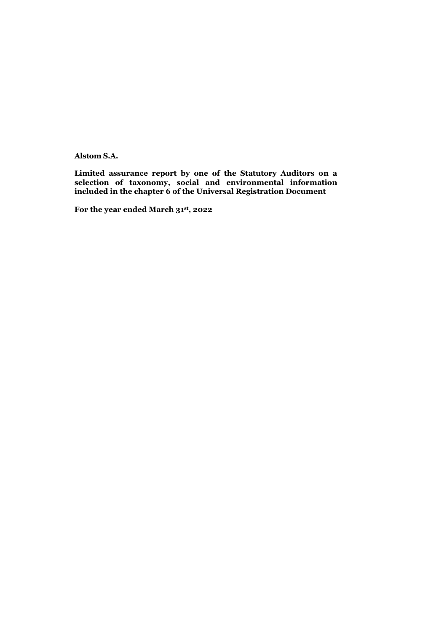Alstom S.A.

Limited assurance report by one of the Statutory Auditors on a selection of taxonomy, social and environmental information included in the chapter 6 of the Universal Registration Document

For the year ended March 31st, 2022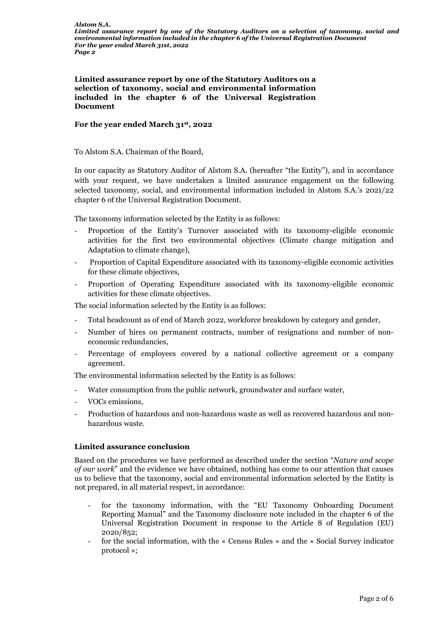Limited assurance report by one of the Statutory Auditors on a selection of taxonomy, social and environmental information included in the chapter 6 of the Universal Registration Document

#### For the year ended March 31st, 2022

To Alstom S.A. Chairman of the Board,

In our capacity as Statutory Auditor of Alstom S.A. (hereafter "the Entity"), and in accordance with your request, we have undertaken a limited assurance engagement on the following selected taxonomy, social, and environmental information included in Alstom S.A.'s 2021/22 chapter 6 of the Universal Registration Document.

The taxonomy information selected by the Entity is as follows:

- Proportion of the Entity's Turnover associated with its taxonomy-eligible economic activities for the first two environmental objectives (Climate change mitigation and Adaptation to climate change),
- Proportion of Capital Expenditure associated with its taxonomy-eligible economic activities for these climate objectives,
- Proportion of Operating Expenditure associated with its taxonomy-eligible economic activities for these climate objectives.

The social information selected by the Entity is as follows:

- Total headcount as of end of March 2022, workforce breakdown by category and gender,
- Number of hires on permanent contracts, number of resignations and number of noneconomic redundancies,
- Percentage of employees covered by a national collective agreement or a company agreement.

The environmental information selected by the Entity is as follows:

- Water consumption from the public network, groundwater and surface water,
- VOCs emissions,
- Production of hazardous and non-hazardous waste as well as recovered hazardous and nonhazardous waste.

#### Limited assurance conclusion

Based on the procedures we have performed as described under the section "*Nature and scope of our work*" and the evidence we have obtained, nothing has come to our attention that causes us to believe that the taxonomy, social and environmental information selected by the Entity is not prepared, in all material respect, in accordance:

- for the taxonomy information, with the "EU Taxonomy Onboarding Document Reporting Manual" and the Taxonomy disclosure note included in the chapter 6 of the Universal Registration Document in response to the Article 8 of Regulation (EU) 2020/852;
- for the social information, with the « Census Rules » and the « Social Survey indicator protocol »;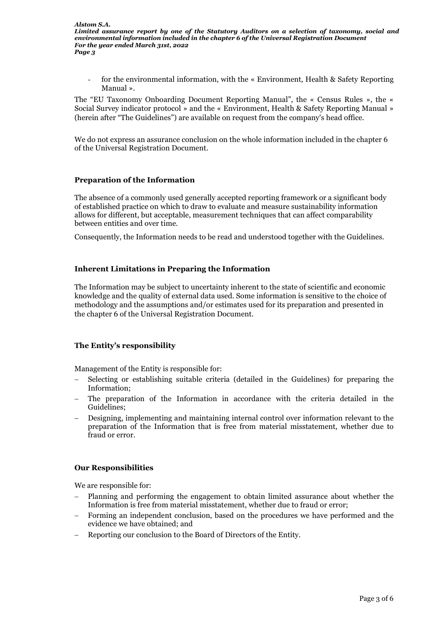*Limited assurance report by one of the Statutory Auditors on a selection of taxonomy, social and environmental information included in the chapter 6 of the Universal Registration Document For the year ended March 31st, 2022 Page 3*

for the environmental information, with the « Environment, Health & Safety Reporting Manual ».

The "EU Taxonomy Onboarding Document Reporting Manual", the « Census Rules », the « Social Survey indicator protocol » and the « Environment, Health & Safety Reporting Manual » (herein after "The Guidelines") are available on request from the company's head office.

We do not express an assurance conclusion on the whole information included in the chapter 6 of the Universal Registration Document.

### Preparation of the Information

The absence of a commonly used generally accepted reporting framework or a significant body of established practice on which to draw to evaluate and measure sustainability information allows for different, but acceptable, measurement techniques that can affect comparability between entities and over time.

Consequently, the Information needs to be read and understood together with the Guidelines.

# Inherent Limitations in Preparing the Information

The Information may be subject to uncertainty inherent to the state of scientific and economic knowledge and the quality of external data used. Some information is sensitive to the choice of methodology and the assumptions and/or estimates used for its preparation and presented in the chapter 6 of the Universal Registration Document.

# The Entity's responsibility

Management of the Entity is responsible for:

- Selecting or establishing suitable criteria (detailed in the Guidelines) for preparing the Information;
- The preparation of the Information in accordance with the criteria detailed in the Guidelines;
- Designing, implementing and maintaining internal control over information relevant to the preparation of the Information that is free from material misstatement, whether due to fraud or error.

# Our Responsibilities

We are responsible for:

- Planning and performing the engagement to obtain limited assurance about whether the Information is free from material misstatement, whether due to fraud or error;
- Forming an independent conclusion, based on the procedures we have performed and the evidence we have obtained; and
- Reporting our conclusion to the Board of Directors of the Entity.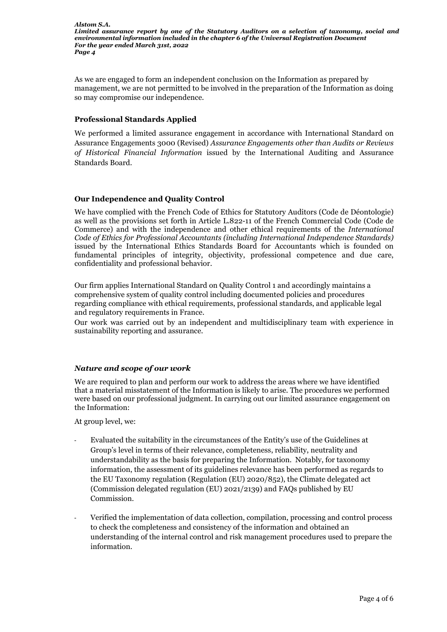*Alstom S.A. Limited assurance report by one of the Statutory Auditors on a selection of taxonomy, social and environmental information included in the chapter 6 of the Universal Registration Document For the year ended March 31st, 2022 Page 4*

As we are engaged to form an independent conclusion on the Information as prepared by management, we are not permitted to be involved in the preparation of the Information as doing so may compromise our independence.

## Professional Standards Applied

We performed a limited assurance engagement in accordance with International Standard on Assurance Engagements 3000 (Revised) *Assurance Engagements other than Audits or Reviews of Historical Financial Information* issued by the International Auditing and Assurance Standards Board.

### Our Independence and Quality Control

We have complied with the French Code of Ethics for Statutory Auditors (Code de Déontologie) as well as the provisions set forth in Article L.822-11 of the French Commercial Code (Code de Commerce) and with the independence and other ethical requirements of the *International Code of Ethics for Professional Accountants (including International Independence Standards)*  issued by the International Ethics Standards Board for Accountants which is founded on fundamental principles of integrity, objectivity, professional competence and due care, confidentiality and professional behavior.

Our firm applies International Standard on Quality Control 1 and accordingly maintains a comprehensive system of quality control including documented policies and procedures regarding compliance with ethical requirements, professional standards, and applicable legal and regulatory requirements in France.

Our work was carried out by an independent and multidisciplinary team with experience in sustainability reporting and assurance.

# *Nature and scope of our work*

We are required to plan and perform our work to address the areas where we have identified that a material misstatement of the Information is likely to arise. The procedures we performed were based on our professional judgment. In carrying out our limited assurance engagement on the Information:

At group level, we:

- Evaluated the suitability in the circumstances of the Entity's use of the Guidelines at Group's level in terms of their relevance, completeness, reliability, neutrality and understandability as the basis for preparing the Information. Notably, for taxonomy information, the assessment of its guidelines relevance has been performed as regards to the EU Taxonomy regulation (Regulation (EU) 2020/852), the Climate delegated act (Commission delegated regulation (EU) 2021/2139) and FAQs published by EU Commission.
- Verified the implementation of data collection, compilation, processing and control process to check the completeness and consistency of the information and obtained an understanding of the internal control and risk management procedures used to prepare the information.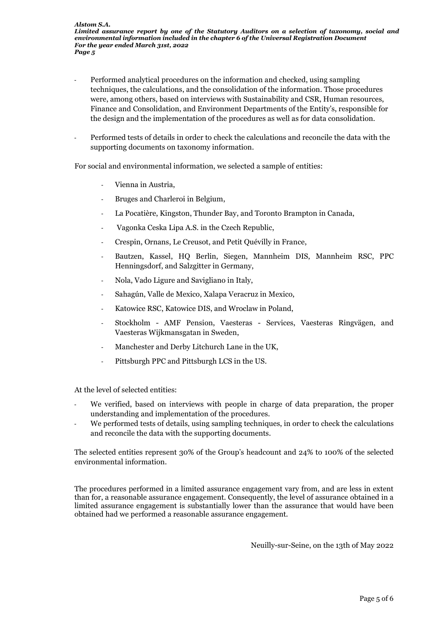- Performed analytical procedures on the information and checked, using sampling techniques, the calculations, and the consolidation of the information. Those procedures were, among others, based on interviews with Sustainability and CSR, Human resources, Finance and Consolidation, and Environment Departments of the Entity's, responsible for the design and the implementation of the procedures as well as for data consolidation.
- Performed tests of details in order to check the calculations and reconcile the data with the supporting documents on taxonomy information.

For social and environmental information, we selected a sample of entities:

- Vienna in Austria,
- Bruges and Charleroi in Belgium,
- La Pocatière, Kingston, Thunder Bay, and Toronto Brampton in Canada,
- Vagonka Ceska Lipa A.S. in the Czech Republic,
- Crespin, Ornans, Le Creusot, and Petit Quévilly in France,
- Bautzen, Kassel, HQ Berlin, Siegen, Mannheim DIS, Mannheim RSC, PPC Henningsdorf, and Salzgitter in Germany,
- Nola, Vado Ligure and Savigliano in Italy,
- Sahagún, Valle de Mexico, Xalapa Veracruz in Mexico,
- Katowice RSC, Katowice DIS, and Wroclaw in Poland,
- Stockholm AMF Pension, Vaesteras Services, Vaesteras Ringvägen, and Vaesteras Wijkmansgatan in Sweden,
- Manchester and Derby Litchurch Lane in the UK,
- Pittsburgh PPC and Pittsburgh LCS in the US.

At the level of selected entities:

- We verified, based on interviews with people in charge of data preparation, the proper understanding and implementation of the procedures.
- We performed tests of details, using sampling techniques, in order to check the calculations and reconcile the data with the supporting documents.

The selected entities represent 30% of the Group's headcount and 24% to 100% of the selected environmental information.

The procedures performed in a limited assurance engagement vary from, and are less in extent than for, a reasonable assurance engagement. Consequently, the level of assurance obtained in a limited assurance engagement is substantially lower than the assurance that would have been obtained had we performed a reasonable assurance engagement.

Neuilly-sur-Seine, on the 13th of May 2022